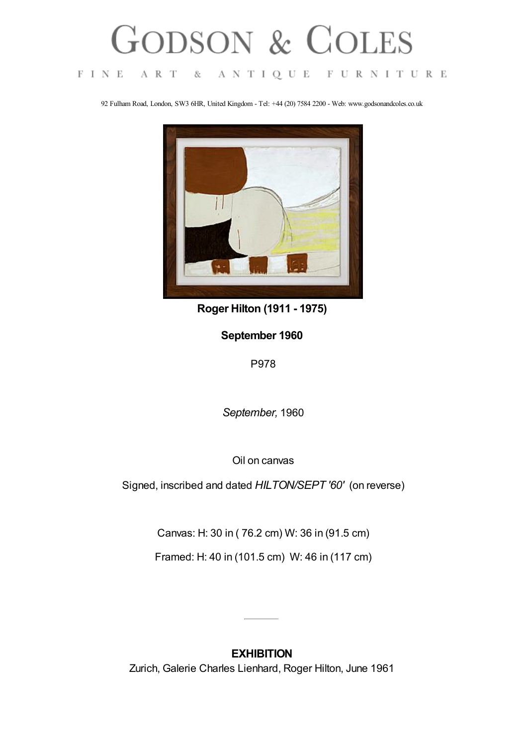## GODSON & COLES

ANTIQUE FURNITURE  $\mathcal{F}$  I N  $\mathcal{E}$ A R T  $\&$ 

92 Fulham Road, London, SW3 6HR, United Kingdom - Tel: +44 (20) 7584 2200 - Web: www.godsonandcoles.co.uk



**Roger Hilton (1911 - 1975)**

## **September 1960**

P978

*September,* 1960

Oil on canvas

Signed, inscribed and dated *HILTON/SEPT '60'* (on reverse)

Canvas: H: 30 in ( 76.2 cm) W: 36 in (91.5 cm)

Framed: H: 40 in (101.5 cm) W: 46 in (117 cm)

## **EXHIBITION** Zurich, Galerie Charles Lienhard, Roger Hilton, June 1961